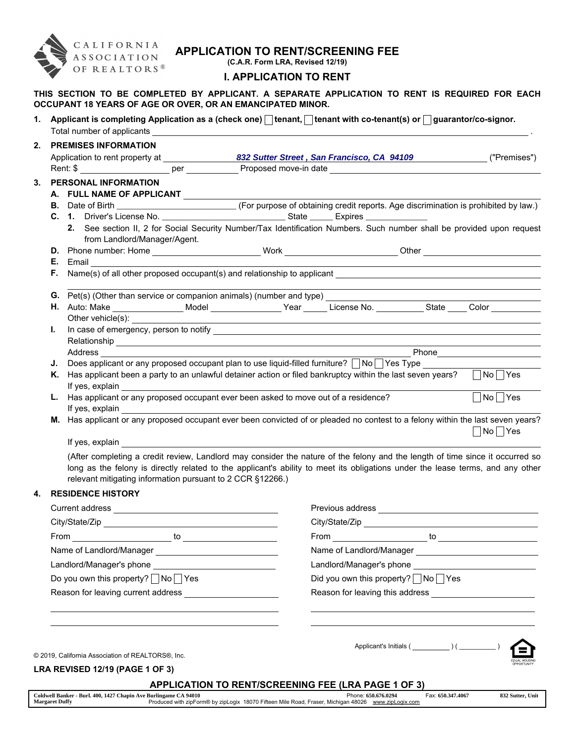

# APPLICATION TO RENT/SCREENING FEE

(C.A.R. Form LRA, Revised 12/19)

# I. APPLICATION TO RENT

THIS SECTION TO BE COMPLETED BY APPLICANT. A SEPARATE APPLICATION TO RENT IS REQUIRED FOR EACH OCCUPANT 18 YEARS OF AGE OR OVER, OR AN EMANCIPATED MINOR.

1. Applicant is completing Application as a (check one)  $\Box$  tenant,  $\Box$  tenant with co-tenant(s) or  $\Box$  guarantor/co-signor. Total number of applicants .

| 2. |    | <b>PREMISES INFORMATION</b>                                                                                                                                                                                                    |  |  |                                                      |
|----|----|--------------------------------------------------------------------------------------------------------------------------------------------------------------------------------------------------------------------------------|--|--|------------------------------------------------------|
|    |    |                                                                                                                                                                                                                                |  |  |                                                      |
|    |    |                                                                                                                                                                                                                                |  |  |                                                      |
| 3. |    | <b>PERSONAL INFORMATION</b>                                                                                                                                                                                                    |  |  |                                                      |
|    |    | A. FULL NAME OF APPLICANT                                                                                                                                                                                                      |  |  |                                                      |
|    |    |                                                                                                                                                                                                                                |  |  |                                                      |
|    |    |                                                                                                                                                                                                                                |  |  |                                                      |
|    |    | 2. See section II, 2 for Social Security Number/Tax Identification Numbers. Such number shall be provided upon request<br>from Landlord/Manager/Agent.                                                                         |  |  |                                                      |
|    |    |                                                                                                                                                                                                                                |  |  |                                                      |
|    |    | <b>E.</b> Email <b>E.</b> Email                                                                                                                                                                                                |  |  |                                                      |
|    |    |                                                                                                                                                                                                                                |  |  |                                                      |
|    |    |                                                                                                                                                                                                                                |  |  |                                                      |
|    |    | G. Pet(s) (Other than service or companion animals) (number and type) [14] The Companion match of the Companion animals) (number and type) [14] The Companion match of the Companion match of the Companion match of the Compa |  |  |                                                      |
|    |    | H. Auto: Make __________________Model ________________Year ______ License No. ___________State ____ Color _________                                                                                                            |  |  |                                                      |
|    |    |                                                                                                                                                                                                                                |  |  |                                                      |
|    | L. |                                                                                                                                                                                                                                |  |  |                                                      |
|    |    |                                                                                                                                                                                                                                |  |  |                                                      |
|    |    |                                                                                                                                                                                                                                |  |  |                                                      |
|    |    | J. Does applicant or any proposed occupant plan to use liquid-filled furniture? $\Box$ No $\Box$ Yes Type                                                                                                                      |  |  |                                                      |
|    | Κ. | Has applicant been a party to an unlawful detainer action or filed bankruptcy within the last seven years? $\Box$ No $\Box$ Yes                                                                                                |  |  |                                                      |
|    |    |                                                                                                                                                                                                                                |  |  |                                                      |
|    |    | L. Has applicant or any proposed occupant ever been asked to move out of a residence?                                                                                                                                          |  |  | $\overline{\bigwedge}$ No $\overline{\bigwedge}$ Yes |
|    |    | If yes, explain and the state of the state of the state of the state of the state of the state of the state of the state of the state of the state of the state of the state of the state of the state of the state of the sta |  |  |                                                      |
|    |    | M. Has applicant or any proposed occupant ever been convicted of or pleaded no contest to a felony within the last seven years?                                                                                                |  |  |                                                      |
|    |    |                                                                                                                                                                                                                                |  |  | No Yes                                               |
|    |    | If yes, explain                                                                                                                                                                                                                |  |  |                                                      |
|    |    | (After completing a credit review, Landlord may consider the nature of the felony and the length of time since it occurred so                                                                                                  |  |  |                                                      |

long as the felony is directly related to the applicant's ability to meet its obligations under the lease terms, and any other relevant mitigating information pursuant to 2 CCR §12266.)

# 4. RESIDENCE HISTORY

| Current address                                                                                                |                                                                                                                                                                                                                                      |
|----------------------------------------------------------------------------------------------------------------|--------------------------------------------------------------------------------------------------------------------------------------------------------------------------------------------------------------------------------------|
|                                                                                                                |                                                                                                                                                                                                                                      |
| From to to the contract of the contract of the contract of the contract of the contract of the contract of the |                                                                                                                                                                                                                                      |
|                                                                                                                |                                                                                                                                                                                                                                      |
|                                                                                                                |                                                                                                                                                                                                                                      |
| Do you own this property? △No Yes                                                                              | Did you own this property? $\Box$ No $\Box$ Yes                                                                                                                                                                                      |
|                                                                                                                | Reason for leaving this address <b>contains a state of the state of the state of the state of the state of the state of the state of the state of the state of the state of the state of the state of the state of the state of </b> |
|                                                                                                                |                                                                                                                                                                                                                                      |
| © 2019, California Association of REALTORS®, Inc.                                                              |                                                                                                                                                                                                                                      |
| <b>LRA REVISED 12/19 (PAGE 1 OF 3)</b>                                                                         |                                                                                                                                                                                                                                      |
|                                                                                                                | <b>APPLICATION TO RENT/SCREENING FEE (LRA PAGE 1 OF 3)</b>                                                                                                                                                                           |
| Coldwell Banker - Burl. 400, 1427 Chapin Ave Burlingame CA 94010                                               | Fax: 650.347.4067<br>832 Sutter, Unit<br>Phone: 650,676,0294                                                                                                                                                                         |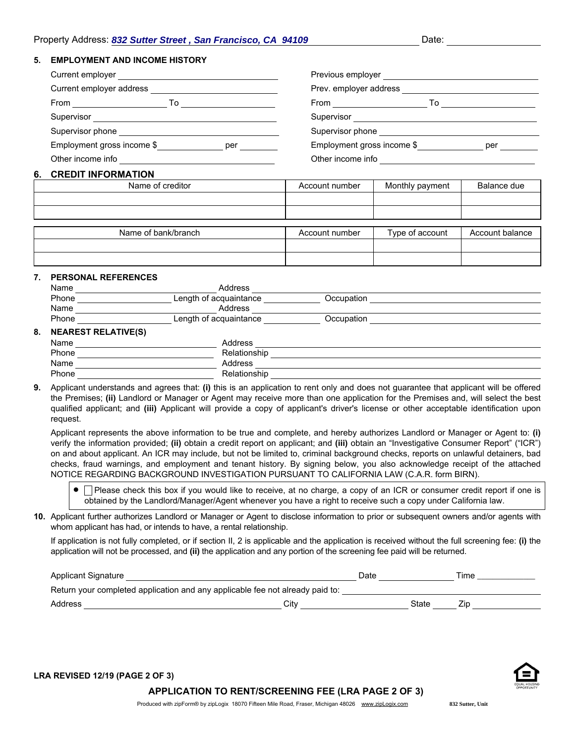### 5. EMPLOYMENT AND INCOME HISTORY

| Current employer                  | Previous employer                 |
|-----------------------------------|-----------------------------------|
| Current employer address          | Prev. employer address            |
| From<br>То                        | From<br>To                        |
| Supervisor                        | Supervisor                        |
| Supervisor phone                  | Supervisor phone                  |
| Employment gross income \$<br>per | Employment gross income \$<br>per |
| Other income info                 | Other income info                 |

#### 6. CREDIT INFORMATION

| Name of creditor    | Account number | Monthly payment | Balance due     |
|---------------------|----------------|-----------------|-----------------|
|                     |                |                 |                 |
|                     |                |                 |                 |
|                     |                |                 |                 |
| Name of bank/branch | Account number | Type of account | Account balance |
|                     |                |                 |                 |
|                     |                |                 |                 |

#### 7. PERSONAL REFERENCES

|       | Name                       | Address                |            |  |
|-------|----------------------------|------------------------|------------|--|
|       | Phone                      | Length of acquaintance | Occupation |  |
| Name  |                            | Address                |            |  |
| Phone |                            | Length of acquaintance | Occupation |  |
| 8.    | <b>NEAREST RELATIVE(S)</b> |                        |            |  |
|       | Name                       | Address                |            |  |
|       | Phone                      | Relationship           |            |  |
| Name  |                            | Address                |            |  |
|       | Phone                      | Relationship           |            |  |

9. Applicant understands and agrees that: (i) this is an application to rent only and does not guarantee that applicant will be offered the Premises; (ii) Landlord or Manager or Agent may receive more than one application for the Premises and, will select the best qualified applicant; and (iii) Applicant will provide a copy of applicant's driver's license or other acceptable identification upon request.

Applicant represents the above information to be true and complete, and hereby authorizes Landlord or Manager or Agent to: (i) verify the information provided; (ii) obtain a credit report on applicant; and (iii) obtain an "Investigative Consumer Report" ("ICR") on and about applicant. An ICR may include, but not be limited to, criminal background checks, reports on unlawful detainers, bad checks, fraud warnings, and employment and tenant history. By signing below, you also acknowledge receipt of the attached NOTICE REGARDING BACKGROUND INVESTIGATION PURSUANT TO CALIFORNIA LAW (C.A.R. form BIRN).

- □ Please check this box if you would like to receive, at no charge, a copy of an ICR or consumer credit report if one is obtained by the Landlord/Manager/Agent whenever you have a right to receive such a copy under California law.
- 10. Applicant further authorizes Landlord or Manager or Agent to disclose information to prior or subsequent owners and/or agents with whom applicant has had, or intends to have, a rental relationship.

If application is not fully completed, or if section II, 2 is applicable and the application is received without the full screening fee: (i) the application will not be processed, and (ii) the application and any portion of the screening fee paid will be returned.

| Applicant Signature                                                           |      |  |       | Time |
|-------------------------------------------------------------------------------|------|--|-------|------|
| Return your completed application and any applicable fee not already paid to: |      |  |       |      |
| Address                                                                       | Citv |  | State | Zin  |



LRA REVISED 12/19 (PAGE 2 OF 3)

APPLICATION TO RENT/SCREENING FEE (LRA PAGE 2 OF 3)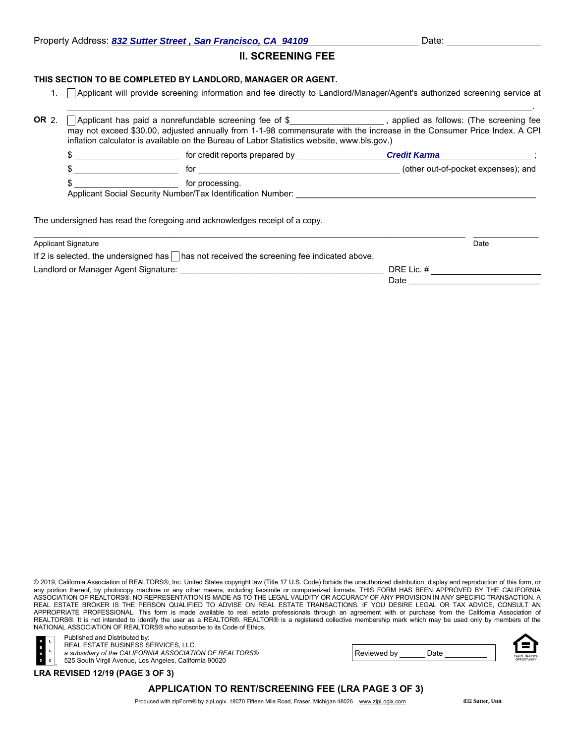.

# II. SCREENING FEE

### THIS SECTION TO BE COMPLETED BY LANDLORD, MANAGER OR AGENT.

1. Applicant will provide screening information and fee directly to Landlord/Manager/Agent's authorized screening service at

| OR 2. | inflation calculator is available on the Bureau of Labor Statistics website, www.bls.gov.)       | $\Box$ Applicant has paid a nonrefundable screening fee of \$ $\Box$ __________________, applied as follows: (The screening fee<br>may not exceed \$30.00, adjusted annually from 1-1-98 commensurate with the increase in the Consumer Price Index. A CPI |                     |                                     |
|-------|--------------------------------------------------------------------------------------------------|------------------------------------------------------------------------------------------------------------------------------------------------------------------------------------------------------------------------------------------------------------|---------------------|-------------------------------------|
|       | \$                                                                                               | for credit reports prepared by                                                                                                                                                                                                                             | <b>Credit Karma</b> |                                     |
|       | \$.                                                                                              | for                                                                                                                                                                                                                                                        |                     | (other out-of-pocket expenses); and |
|       | \$.<br>Applicant Social Security Number/Tax Identification Number:                               |                                                                                                                                                                                                                                                            |                     |                                     |
|       |                                                                                                  | The undersigned has read the foregoing and acknowledges receipt of a copy.                                                                                                                                                                                 |                     |                                     |
|       | <b>Applicant Signature</b>                                                                       |                                                                                                                                                                                                                                                            |                     | Date                                |
|       | If 2 is selected, the undersigned has $\Box$ has not received the screening fee indicated above. |                                                                                                                                                                                                                                                            |                     |                                     |
|       |                                                                                                  |                                                                                                                                                                                                                                                            | DRE Lic. #          |                                     |

Reviewed by Date

© 2019, California Association of REALTORS®, Inc. United States copyright law (Title 17 U.S. Code) forbids the unauthorized distribution, display and reproduction of this form, or any portion thereof, by photocopy machine or any other means, including facsimile or computerized formats. THIS FORM HAS BEEN APPROVED BY THE CALIFORNIA ASSOCIATION OF REALTORS®. NO REPRESENTATION IS MADE AS TO THE LEGAL VALIDITY OR ACCURACY OF ANY PROVISION IN ANY SPECIFIC TRANSACTION. A REAL ESTATE BROKER IS THE PERSON QUALIFIED TO ADVISE ON REAL ESTATE TRANSACTIONS. IF YOU DESIRE LEGAL OR TAX ADVICE, CONSULT AN APPROPRIATE PROFESSIONAL. This form is made available to real estate professionals through an agreement with or purchase from the California Association of REALTORS®. It is not intended to identify the user as a REALTOR®. REALTOR® is a registered collective membership mark which may be used only by members of the NATIONAL ASSOCIATION OF REALTORS® who subscribe to its Code of Ethics.



Published and Distributed by: REAL ESTATE BUSINESS SERVICES, LLC.

*a subsidiary of the CALIFORNIA ASSOCIATION OF REALTORS®*

525 South Virgil Avenue, Los Angeles, California 90020

LRA REVISED 12/19 (PAGE 3 OF 3)

# APPLICATION TO RENT/SCREENING FEE (LRA PAGE 3 OF 3)

Produced with zipForm® by zipLogix 18070 Fifteen Mile Road, Fraser, Michigan 48026 www.zipLogix.com

**832 Sutter, Unit**